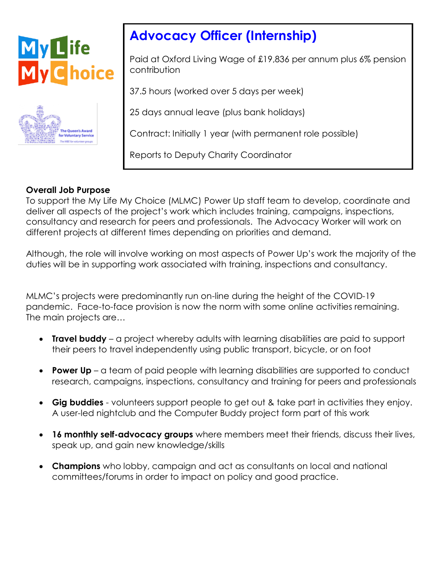# **MyL**ife



# **Advocacy Officer (Internship)**

Paid at Oxford Living Wage of £19,836 per annum plus 6% pension contribution

37.5 hours (worked over 5 days per week)

25 days annual leave (plus bank holidays)

Contract: Initially 1 year (with permanent role possible)

Reports to Deputy Charity Coordinator

## **Overall Job Purpose**

To support the My Life My Choice (MLMC) Power Up staff team to develop, coordinate and deliver all aspects of the project's work which includes training, campaigns, inspections, consultancy and research for peers and professionals. The Advocacy Worker will work on different projects at different times depending on priorities and demand.

Although, the role will involve working on most aspects of Power Up's work the majority of the duties will be in supporting work associated with training, inspections and consultancy.

MLMC's projects were predominantly run on-line during the height of the COVID-19 pandemic. Face-to-face provision is now the norm with some online activities remaining. The main projects are…

- **Travel buddy** a project whereby adults with learning disabilities are paid to support their peers to travel independently using public transport, bicycle, or on foot
- **Power Up**  a team of paid people with learning disabilities are supported to conduct research, campaigns, inspections, consultancy and training for peers and professionals
- **Gig buddies** volunteers support people to get out & take part in activities they enjoy. A user-led nightclub and the Computer Buddy project form part of this work
- **16 monthly self-advocacy groups** where members meet their friends, discuss their lives, speak up, and gain new knowledge/skills
- **Champions** who lobby, campaign and act as consultants on local and national committees/forums in order to impact on policy and good practice.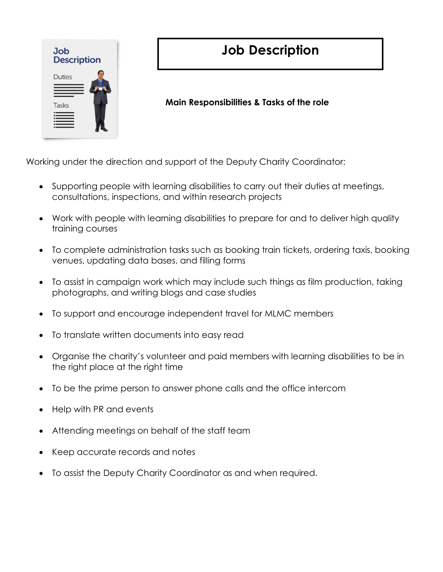

# **Job Description**

## **Main Responsibilities & Tasks of the role**

Working under the direction and support of the Deputy Charity Coordinator:

- Supporting people with learning disabilities to carry out their duties at meetings, consultations, inspections, and within research projects
- Work with people with learning disabilities to prepare for and to deliver high quality training courses
- To complete administration tasks such as booking train tickets, ordering taxis, booking venues, updating data bases, and filling forms
- To assist in campaign work which may include such things as film production, taking photographs, and writing blogs and case studies
- To support and encourage independent travel for MLMC members
- To translate written documents into easy read
- Organise the charity's volunteer and paid members with learning disabilities to be in the right place at the right time
- To be the prime person to answer phone calls and the office intercom
- Help with PR and events
- Attending meetings on behalf of the staff team
- Keep accurate records and notes
- To assist the Deputy Charity Coordinator as and when required.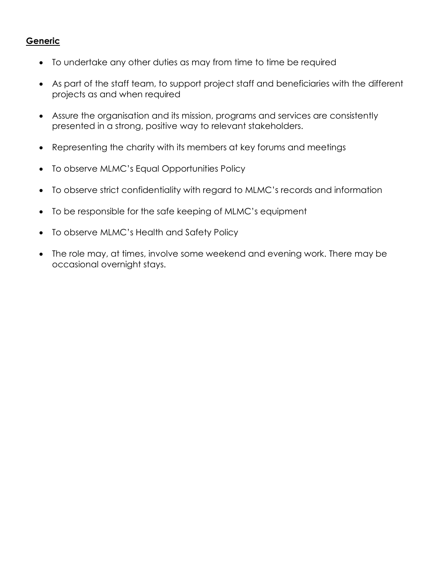### **Generic**

- To undertake any other duties as may from time to time be required
- As part of the staff team, to support project staff and beneficiaries with the different projects as and when required
- Assure the organisation and its mission, programs and services are consistently presented in a strong, positive way to relevant stakeholders.
- Representing the charity with its members at key forums and meetings
- To observe MLMC's Equal Opportunities Policy
- To observe strict confidentiality with regard to MLMC's records and information
- To be responsible for the safe keeping of MLMC's equipment
- To observe MLMC's Health and Safety Policy
- The role may, at times, involve some weekend and evening work. There may be occasional overnight stays.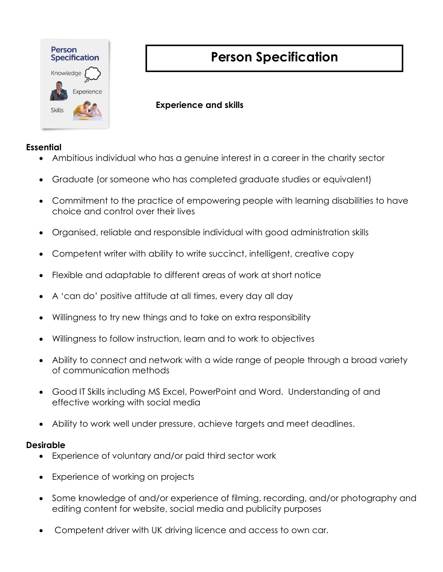

# **Person Specification**

## **Experience and skills**

## **Essential**

- Ambitious individual who has a genuine interest in a career in the charity sector
- Graduate (or someone who has completed graduate studies or equivalent)
- Commitment to the practice of empowering people with learning disabilities to have choice and control over their lives
- Organised, reliable and responsible individual with good administration skills
- Competent writer with ability to write succinct, intelligent, creative copy
- Flexible and adaptable to different areas of work at short notice
- A 'can do' positive attitude at all times, every day all day
- Willingness to try new things and to take on extra responsibility
- Willingness to follow instruction, learn and to work to objectives
- Ability to connect and network with a wide range of people through a broad variety of communication methods
- Good IT Skills including MS Excel, PowerPoint and Word. Understanding of and effective working with social media
- Ability to work well under pressure, achieve targets and meet deadlines.

## **Desirable**

- Experience of voluntary and/or paid third sector work
- Experience of working on projects
- Some knowledge of and/or experience of filming, recording, and/or photography and editing content for website, social media and publicity purposes
- Competent driver with UK driving licence and access to own car.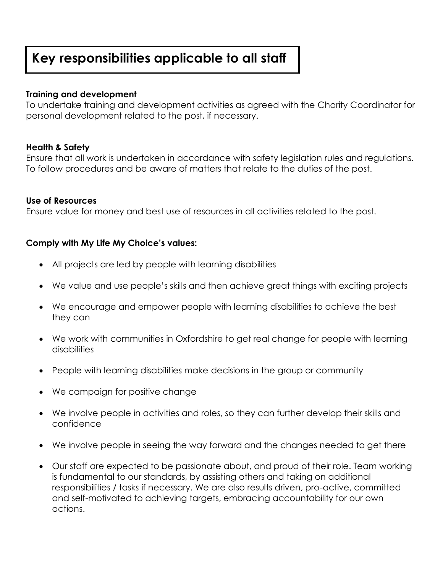# **Key responsibilities applicable to all staff**

#### **Training and development**

To undertake training and development activities as agreed with the Charity Coordinator for personal development related to the post, if necessary.

#### **Health & Safety**

Ensure that all work is undertaken in accordance with safety legislation rules and regulations. To follow procedures and be aware of matters that relate to the duties of the post.

#### **Use of Resources**

Ensure value for money and best use of resources in all activities related to the post.

#### **Comply with My Life My Choice's values:**

- All projects are led by people with learning disabilities
- We value and use people's skills and then achieve great things with exciting projects
- We encourage and empower people with learning disabilities to achieve the best they can
- We work with communities in Oxfordshire to get real change for people with learning disabilities
- People with learning disabilities make decisions in the group or community
- We campaign for positive change
- We involve people in activities and roles, so they can further develop their skills and confidence
- We involve people in seeing the way forward and the changes needed to get there
- Our staff are expected to be passionate about, and proud of their role. Team working is fundamental to our standards, by assisting others and taking on additional responsibilities / tasks if necessary. We are also results driven, pro-active, committed and self-motivated to achieving targets, embracing accountability for our own actions.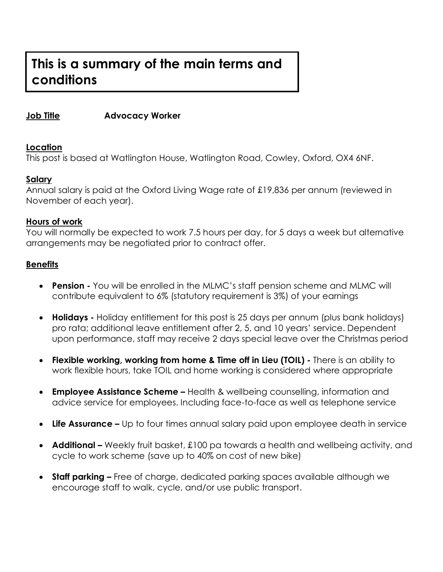# **This is a summary of the main terms and conditions**

**Job Title Advocacy Worker**

#### **Location**

This post is based at Watlington House, Watlington Road, Cowley, Oxford, OX4 6NF.

#### **Salary**

Annual salary is paid at the Oxford Living Wage rate of £19,836 per annum (reviewed in November of each year).

#### **Hours of work**

You will normally be expected to work 7.5 hours per day, for 5 days a week but alternative arrangements may be negotiated prior to contract offer.

## **Benefits**

- **Pension -** You will be enrolled in the MLMC's staff pension scheme and MLMC will contribute equivalent to 6% (statutory requirement is 3%) of your earnings
- **Holidays -** Holiday entitlement for this post is 25 days per annum (plus bank holidays) pro rata; additional leave entitlement after 2, 5, and 10 years' service. Dependent upon performance, staff may receive 2 days special leave over the Christmas period
- **Flexible working, working from home & Time off in Lieu (TOIL) -** There is an ability to work flexible hours, take TOIL and home working is considered where appropriate
- **Employee Assistance Scheme –** Health & wellbeing counselling, information and advice service for employees. Including face-to-face as well as telephone service
- **Life Assurance –** Up to four times annual salary paid upon employee death in service
- **Additional –** Weekly fruit basket, £100 pa towards a health and wellbeing activity, and cycle to work scheme (save up to 40% on cost of new bike)
- **Staff parking –** Free of charge, dedicated parking spaces available although we encourage staff to walk, cycle, and/or use public transport.